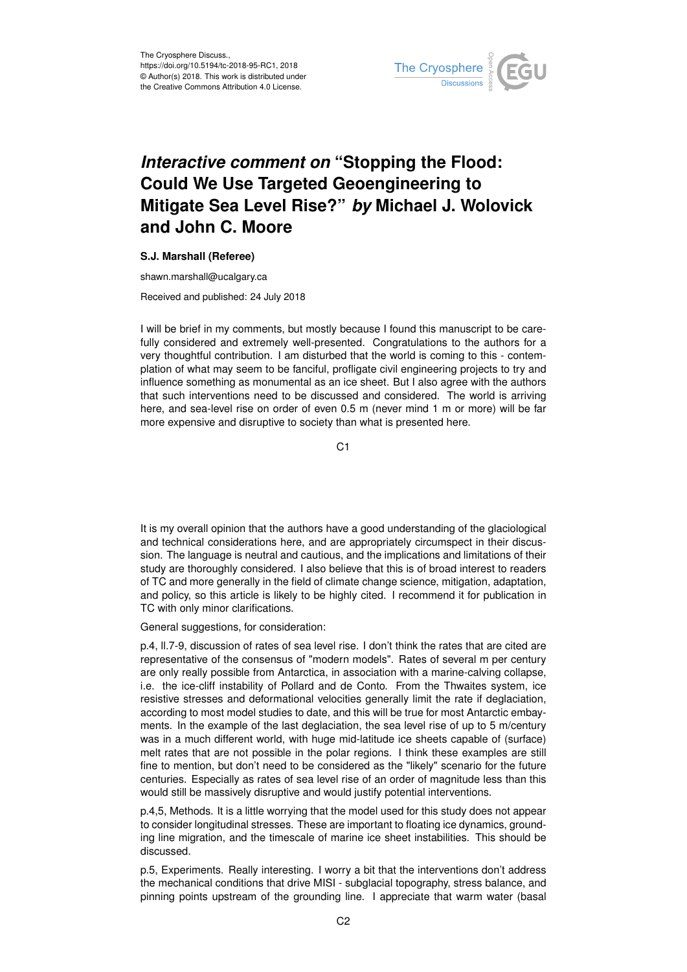

## *Interactive comment on* **"Stopping the Flood: Could We Use Targeted Geoengineering to Mitigate Sea Level Rise?"** *by* **Michael J. Wolovick and John C. Moore**

## **S.J. Marshall (Referee)**

shawn.marshall@ucalgary.ca

Received and published: 24 July 2018

I will be brief in my comments, but mostly because I found this manuscript to be carefully considered and extremely well-presented. Congratulations to the authors for a very thoughtful contribution. I am disturbed that the world is coming to this - contemplation of what may seem to be fanciful, profligate civil engineering projects to try and influence something as monumental as an ice sheet. But I also agree with the authors that such interventions need to be discussed and considered. The world is arriving here, and sea-level rise on order of even 0.5 m (never mind 1 m or more) will be far more expensive and disruptive to society than what is presented here.

 $C<sub>1</sub>$ 

It is my overall opinion that the authors have a good understanding of the glaciological and technical considerations here, and are appropriately circumspect in their discussion. The language is neutral and cautious, and the implications and limitations of their study are thoroughly considered. I also believe that this is of broad interest to readers of TC and more generally in the field of climate change science, mitigation, adaptation, and policy, so this article is likely to be highly cited. I recommend it for publication in TC with only minor clarifications.

General suggestions, for consideration:

p.4, ll.7-9, discussion of rates of sea level rise. I don't think the rates that are cited are representative of the consensus of "modern models". Rates of several m per century are only really possible from Antarctica, in association with a marine-calving collapse, i.e. the ice-cliff instability of Pollard and de Conto. From the Thwaites system, ice resistive stresses and deformational velocities generally limit the rate if deglaciation, according to most model studies to date, and this will be true for most Antarctic embayments. In the example of the last deglaciation, the sea level rise of up to 5 m/century was in a much different world, with huge mid-latitude ice sheets capable of (surface) melt rates that are not possible in the polar regions. I think these examples are still fine to mention, but don't need to be considered as the "likely" scenario for the future centuries. Especially as rates of sea level rise of an order of magnitude less than this would still be massively disruptive and would justify potential interventions.

p.4,5, Methods. It is a little worrying that the model used for this study does not appear to consider longitudinal stresses. These are important to floating ice dynamics, grounding line migration, and the timescale of marine ice sheet instabilities. This should be discussed.

p.5, Experiments. Really interesting. I worry a bit that the interventions don't address the mechanical conditions that drive MISI - subglacial topography, stress balance, and pinning points upstream of the grounding line. I appreciate that warm water (basal